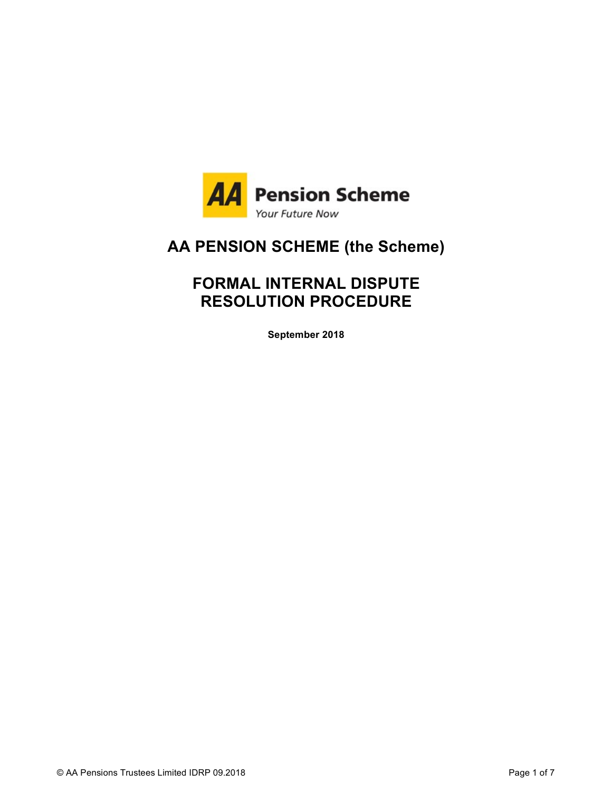

# **AA PENSION SCHEME (the Scheme)**

# **FORMAL INTERNAL DISPUTE RESOLUTION PROCEDURE**

**September 2018**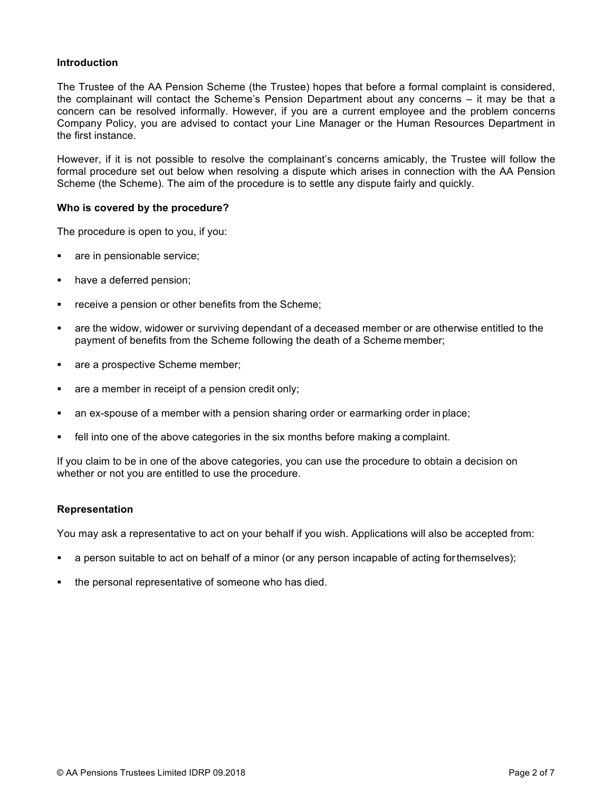## **Introduction**

The Trustee of the AA Pension Scheme (the Trustee) hopes that before a formal complaint is considered, the complainant will contact the Scheme's Pension Department about any concerns – it may be that a concern can be resolved informally. However, if you are a current employee and the problem concerns Company Policy, you are advised to contact your Line Manager or the Human Resources Department in the first instance.

However, if it is not possible to resolve the complainant's concerns amicably, the Trustee will follow the formal procedure set out below when resolving a dispute which arises in connection with the AA Pension Scheme (the Scheme). The aim of the procedure is to settle any dispute fairly and quickly.

#### **Who is covered by the procedure?**

The procedure is open to you, if you:

- are in pensionable service;
- have a deferred pension;
- receive a pension or other benefits from the Scheme;
- are the widow, widower or surviving dependant of a deceased member or are otherwise entitled to the payment of benefits from the Scheme following the death of a Scheme member;
- **EXEC** are a prospective Scheme member;
- are a member in receipt of a pension credit only;
- an ex-spouse of a member with a pension sharing order or earmarking order in place;
- ! fell into one of the above categories in the six months before making a complaint.

If you claim to be in one of the above categories, you can use the procedure to obtain a decision on whether or not you are entitled to use the procedure.

#### **Representation**

You may ask a representative to act on your behalf if you wish. Applications will also be accepted from:

- a person suitable to act on behalf of a minor (or any person incapable of acting for themselves);
- the personal representative of someone who has died.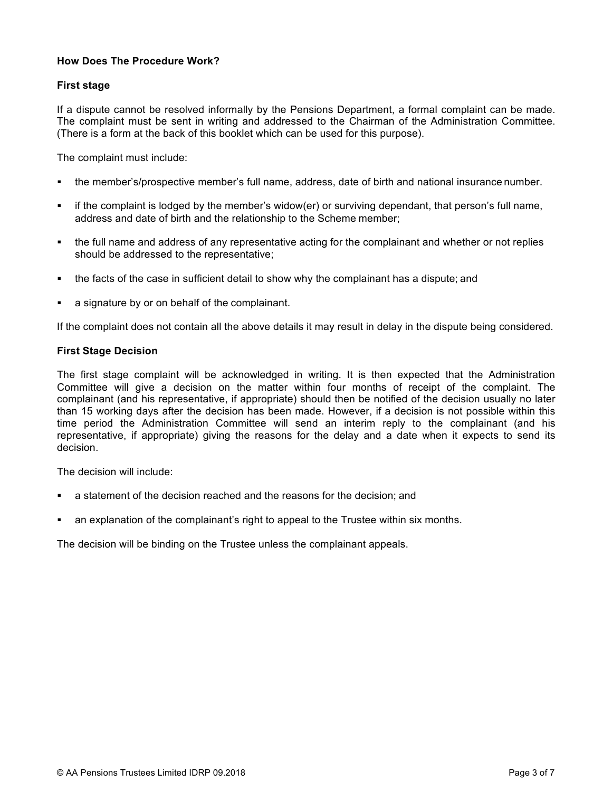# **How Does The Procedure Work?**

# **First stage**

If a dispute cannot be resolved informally by the Pensions Department, a formal complaint can be made. The complaint must be sent in writing and addressed to the Chairman of the Administration Committee. (There is a form at the back of this booklet which can be used for this purpose).

The complaint must include:

- ! the member's/prospective member's full name, address, date of birth and national insurance number.
- ! if the complaint is lodged by the member's widow(er) or surviving dependant, that person's full name, address and date of birth and the relationship to the Scheme member;
- ! the full name and address of any representative acting for the complainant and whether or not replies should be addressed to the representative;
- ! the facts of the case in sufficient detail to show why the complainant has a dispute; and
- a signature by or on behalf of the complainant.

If the complaint does not contain all the above details it may result in delay in the dispute being considered.

### **First Stage Decision**

The first stage complaint will be acknowledged in writing. It is then expected that the Administration Committee will give a decision on the matter within four months of receipt of the complaint. The complainant (and his representative, if appropriate) should then be notified of the decision usually no later than 15 working days after the decision has been made. However, if a decision is not possible within this time period the Administration Committee will send an interim reply to the complainant (and his representative, if appropriate) giving the reasons for the delay and a date when it expects to send its decision.

The decision will include:

- a statement of the decision reached and the reasons for the decision; and
- an explanation of the complainant's right to appeal to the Trustee within six months.

The decision will be binding on the Trustee unless the complainant appeals.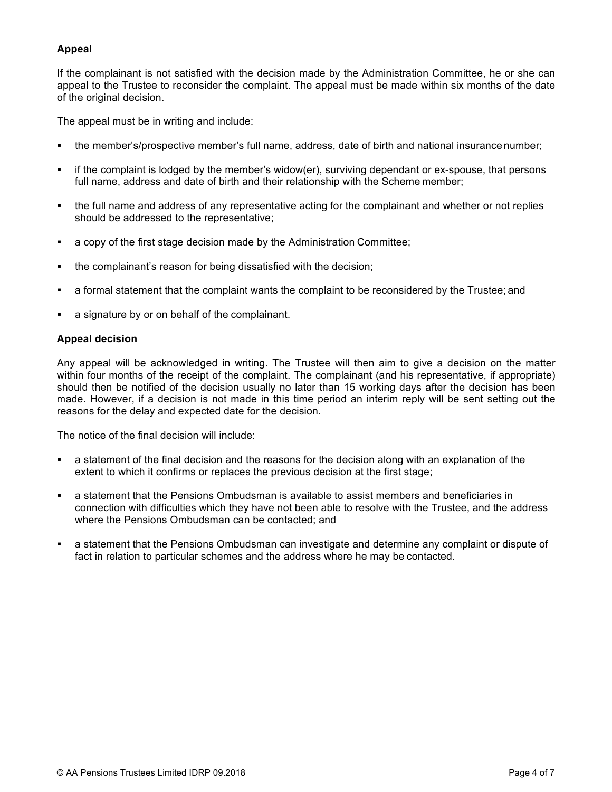# **Appeal**

If the complainant is not satisfied with the decision made by the Administration Committee, he or she can appeal to the Trustee to reconsider the complaint. The appeal must be made within six months of the date of the original decision.

The appeal must be in writing and include:

- ! the member's/prospective member's full name, address, date of birth and national insurance number;
- ! if the complaint is lodged by the member's widow(er), surviving dependant or ex-spouse, that persons full name, address and date of birth and their relationship with the Scheme member;
- ! the full name and address of any representative acting for the complainant and whether or not replies should be addressed to the representative;
- ! a copy of the first stage decision made by the Administration Committee;
- the complainant's reason for being dissatisfied with the decision;
- a formal statement that the complaint wants the complaint to be reconsidered by the Trustee; and
- a signature by or on behalf of the complainant.

# **Appeal decision**

Any appeal will be acknowledged in writing. The Trustee will then aim to give a decision on the matter within four months of the receipt of the complaint. The complainant (and his representative, if appropriate) should then be notified of the decision usually no later than 15 working days after the decision has been made. However, if a decision is not made in this time period an interim reply will be sent setting out the reasons for the delay and expected date for the decision.

The notice of the final decision will include:

- a statement of the final decision and the reasons for the decision along with an explanation of the extent to which it confirms or replaces the previous decision at the first stage;
- a statement that the Pensions Ombudsman is available to assist members and beneficiaries in connection with difficulties which they have not been able to resolve with the Trustee, and the address where the Pensions Ombudsman can be contacted; and
- a statement that the Pensions Ombudsman can investigate and determine any complaint or dispute of fact in relation to particular schemes and the address where he may be contacted.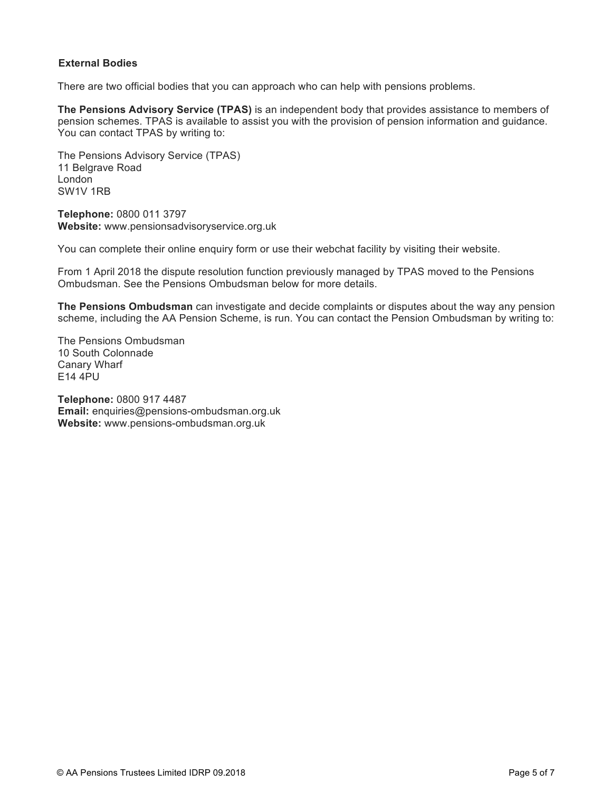# **External Bodies**

There are two official bodies that you can approach who can help with pensions problems.

**The Pensions Advisory Service (TPAS)** is an independent body that provides assistance to members of pension schemes. TPAS is available to assist you with the provision of pension information and guidance. You can contact TPAS by writing to:

The Pensions Advisory Service (TPAS) 11 Belgrave Road London SW1V 1RB

**Telephone:** 0800 011 3797 **Website:** www.pensionsadvisoryservice.org.uk

You can complete their online enquiry form or use their webchat facility by visiting their website.

From 1 April 2018 the dispute resolution function previously managed by TPAS moved to the Pensions Ombudsman. See the Pensions Ombudsman below for more details.

**The Pensions Ombudsman** can investigate and decide complaints or disputes about the way any pension scheme, including the AA Pension Scheme, is run. You can contact the Pension Ombudsman by writing to:

The Pensions Ombudsman 10 South Colonnade Canary Wharf E14 4PU

**Telephone:** 0800 917 4487 **Email:** [enquiries@pensions-ombudsman.org.uk](mailto:enquiries@pensions-ombudsman.org.uk) **Website:** [www.pensions-ombudsman.org.uk](http://www.pensions-ombudsman.org.uk)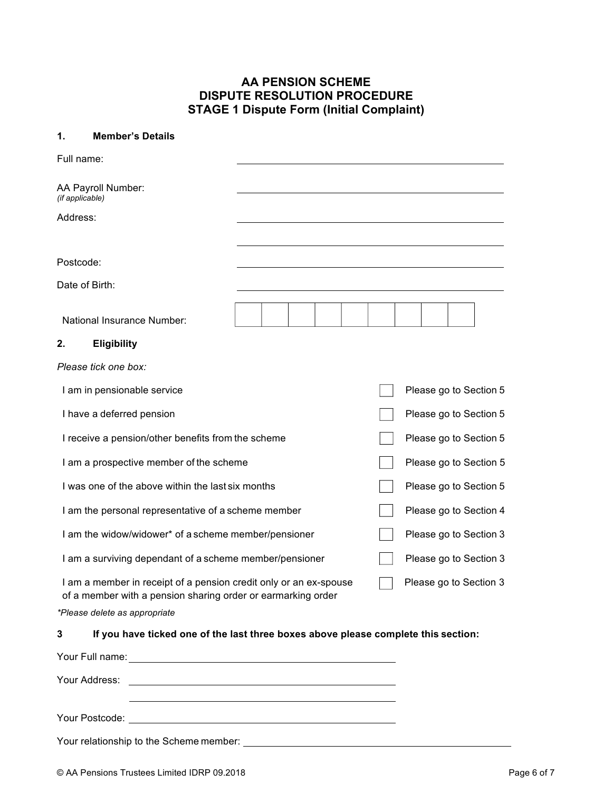# **AA PENSION SCHEME DISPUTE RESOLUTION PROCEDURE STAGE 1 Dispute Form (Initial Complaint)**

#### **1. Member's Details**

| Full name:                                                                                                                                                                                                                     |  |                        |
|--------------------------------------------------------------------------------------------------------------------------------------------------------------------------------------------------------------------------------|--|------------------------|
| AA Payroll Number:<br>(if applicable)                                                                                                                                                                                          |  |                        |
| Address:                                                                                                                                                                                                                       |  |                        |
|                                                                                                                                                                                                                                |  |                        |
| Postcode:                                                                                                                                                                                                                      |  |                        |
| Date of Birth:                                                                                                                                                                                                                 |  |                        |
| National Insurance Number:                                                                                                                                                                                                     |  |                        |
| 2.<br><b>Eligibility</b>                                                                                                                                                                                                       |  |                        |
| Please tick one box:                                                                                                                                                                                                           |  |                        |
| I am in pensionable service                                                                                                                                                                                                    |  | Please go to Section 5 |
| I have a deferred pension                                                                                                                                                                                                      |  | Please go to Section 5 |
| I receive a pension/other benefits from the scheme                                                                                                                                                                             |  | Please go to Section 5 |
| I am a prospective member of the scheme                                                                                                                                                                                        |  | Please go to Section 5 |
| I was one of the above within the last six months                                                                                                                                                                              |  | Please go to Section 5 |
| I am the personal representative of a scheme member                                                                                                                                                                            |  | Please go to Section 4 |
| I am the widow/widower* of a scheme member/pensioner                                                                                                                                                                           |  | Please go to Section 3 |
| I am a surviving dependant of a scheme member/pensioner                                                                                                                                                                        |  | Please go to Section 3 |
| I am a member in receipt of a pension credit only or an ex-spouse<br>of a member with a pension sharing order or earmarking order                                                                                              |  | Please go to Section 3 |
| *Please delete as appropriate                                                                                                                                                                                                  |  |                        |
| If you have ticked one of the last three boxes above please complete this section:<br>3                                                                                                                                        |  |                        |
| Your Full name: Note that the set of the set of the set of the set of the set of the set of the set of the set of the set of the set of the set of the set of the set of the set of the set of the set of the set of the set o |  |                        |
| Your Address:                                                                                                                                                                                                                  |  |                        |

Your Postcode:

Your relationship to the Scheme member: